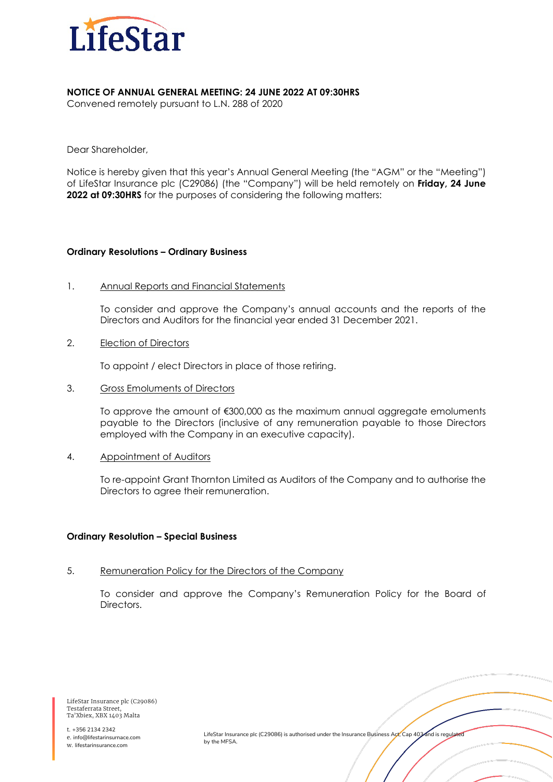

## **NOTICE OF ANNUAL GENERAL MEETING: 24 JUNE 2022 AT 09:30HRS**

Convened remotely pursuant to L.N. 288 of 2020

Dear Shareholder,

Notice is hereby given that this year's Annual General Meeting (the "AGM" or the "Meeting") of LifeStar Insurance plc (C29086) (the "Company") will be held remotely on **Friday, 24 June 2022 at 09:30HRS** for the purposes of considering the following matters:

## **Ordinary Resolutions – Ordinary Business**

1. Annual Reports and Financial Statements

To consider and approve the Company's annual accounts and the reports of the Directors and Auditors for the financial year ended 31 December 2021.

2. Election of Directors

To appoint / elect Directors in place of those retiring.

3. Gross Emoluments of Directors

To approve the amount of €300,000 as the maximum annual aggregate emoluments payable to the Directors (inclusive of any remuneration payable to those Directors employed with the Company in an executive capacity).

4. Appointment of Auditors

To re-appoint Grant Thornton Limited as Auditors of the Company and to authorise the Directors to agree their remuneration.

## **Ordinary Resolution – Special Business**

5. Remuneration Policy for the Directors of the Company

To consider and approve the Company's Remuneration Policy for the Board of Directors.

LifeStar Insurance plc (C29086) Testaferrata Street, Ta'Xbiex, XBX 1403 Malta

t. +356 2134 2342 e. info@lifestarinsurnace.com w. lifestarinsurance.com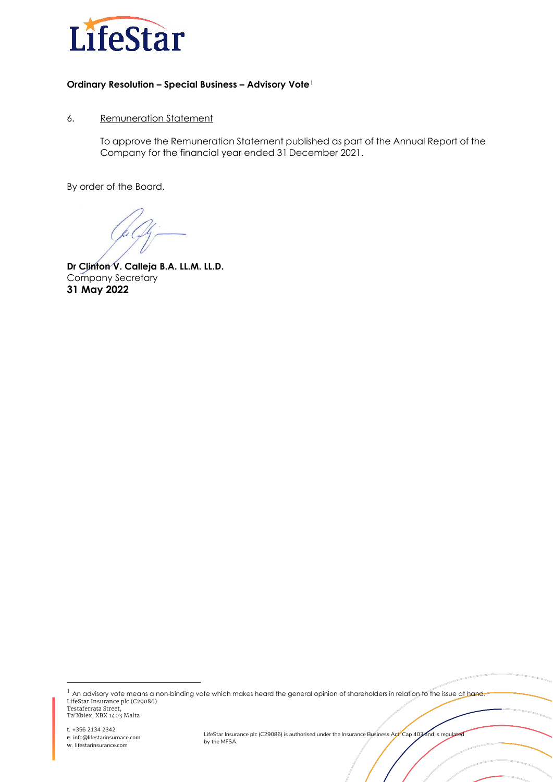

# **Ordinary Resolution – Special Business – Advisory Vote**[1](#page-1-0)

# 6. Remuneration Statement

To approve the Remuneration Statement published as part of the Annual Report of the Company for the financial year ended 31 December 2021.

By order of the Board.

**Dr Clinton V. Calleja B.A. LL.M. LL.D.** Company Secretary **31 May 2022**

<span id="page-1-0"></span>LifeStar Insurance plc (C29086) Testaferrata Street, Ta'Xbiex, XBX 1403 Malta <sup>1</sup> An advisory vote means a non-binding vote which makes heard the general opinion of shareholders in relation to the issue at hand.

t. +356 2134 2342 e. info@lifestarinsurnace.com w. lifestarinsurance.com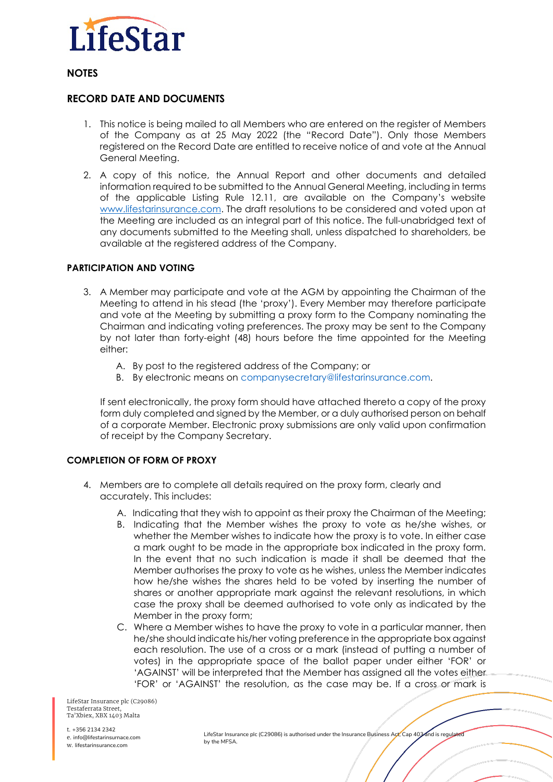

**NOTES** 

# **RECORD DATE AND DOCUMENTS**

- 1. This notice is being mailed to all Members who are entered on the register of Members of the Company as at 25 May 2022 (the "Record Date"). Only those Members registered on the Record Date are entitled to receive notice of and vote at the Annual General Meeting.
- 2. A copy of this notice, the Annual Report and other documents and detailed information required to be submitted to the Annual General Meeting, including in terms of the applicable Listing Rule 12.11, are available on the Company's website [www.lifestarinsurance.com.](http://www.lifestarinsurance.com/) The draft resolutions to be considered and voted upon at the Meeting are included as an integral part of this notice. The full-unabridged text of any documents submitted to the Meeting shall, unless dispatched to shareholders, be available at the registered address of the Company.

# **PARTICIPATION AND VOTING**

- 3. A Member may participate and vote at the AGM by appointing the Chairman of the Meeting to attend in his stead (the 'proxy'). Every Member may therefore participate and vote at the Meeting by submitting a proxy form to the Company nominating the Chairman and indicating voting preferences. The proxy may be sent to the Company by not later than forty-eight (48) hours before the time appointed for the Meeting either:
	- A. By post to the registered address of the Company; or
	- B. By electronic means on companysecretary@lifestarinsurance.com.

If sent electronically, the proxy form should have attached thereto a copy of the proxy form duly completed and signed by the Member, or a duly authorised person on behalf of a corporate Member. Electronic proxy submissions are only valid upon confirmation of receipt by the Company Secretary.

## **COMPLETION OF FORM OF PROXY**

- 4. Members are to complete all details required on the proxy form, clearly and accurately. This includes:
	- A. Indicating that they wish to appoint as their proxy the Chairman of the Meeting;
	- B. Indicating that the Member wishes the proxy to vote as he/she wishes, or whether the Member wishes to indicate how the proxy is to vote. In either case a mark ought to be made in the appropriate box indicated in the proxy form. In the event that no such indication is made it shall be deemed that the Member authorises the proxy to vote as he wishes, unless the Member indicates how he/she wishes the shares held to be voted by inserting the number of shares or another appropriate mark against the relevant resolutions, in which case the proxy shall be deemed authorised to vote only as indicated by the Member in the proxy form;
	- C. Where a Member wishes to have the proxy to vote in a particular manner, then he/she should indicate his/her voting preference in the appropriate box against each resolution. The use of a cross or a mark (instead of putting a number of votes) in the appropriate space of the ballot paper under either 'FOR' or 'AGAINST' will be interpreted that the Member has assigned all the votes either 'FOR' or 'AGAINST' the resolution, as the case may be. If a cross or mark is

LifeStar Insurance plc (C29086) Testaferrata Street, Ta'Xbiex, XBX 1403 Malta

t. +356 2134 2342 e. info@lifestarinsurnace.com w. lifestarinsurance.com